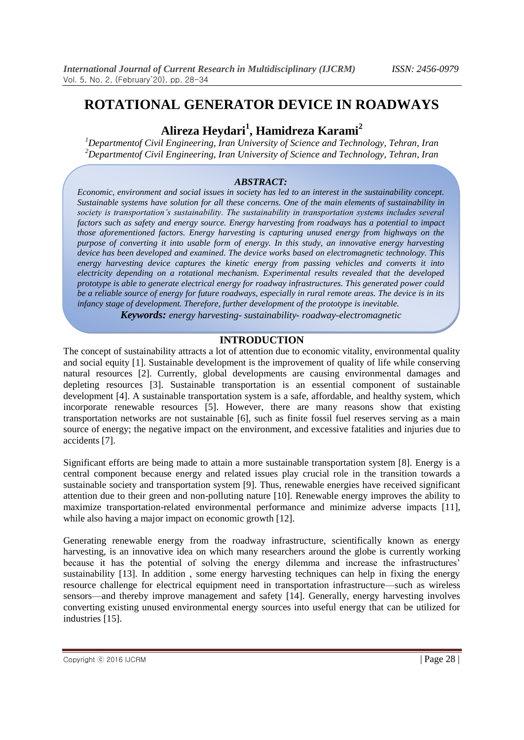# **ROTATIONAL GENERATOR DEVICE IN ROADWAYS**

# **Alireza Heydari<sup>1</sup> , Hamidreza Karami<sup>2</sup>**

*<sup>1</sup>Departmentof Civil Engineering, Iran University of Science and Technology, Tehran, Iran <sup>2</sup>Departmentof Civil Engineering, Iran University of Science and Technology, Tehran, Iran*

## *ABSTRACT:*

*Economic, environment and social issues in society has led to an interest in the sustainability concept. Sustainable systems have solution for all these concerns. One of the main elements of sustainability in society is transportation's sustainability. The sustainability in transportation systems includes several factors such as safety and energy source. Energy harvesting from roadways has a potential to impact those aforementioned factors. Energy harvesting is capturing unused energy from highways on the purpose of converting it into usable form of energy. In this study, an innovative energy harvesting device has been developed and examined. The device works based on electromagnetic technology. This energy harvesting device captures the kinetic energy from passing vehicles and converts it into electricity depending on a rotational mechanism. Experimental results revealed that the developed prototype is able to generate electrical energy for roadway infrastructures. This generated power could be a reliable source of energy for future roadways, especially in rural remote areas. The device is in its infancy stage of development. Therefore, further development of the prototype is inevitable.*

*Keywords: energy harvesting- sustainability- roadway-electromagnetic*

# **INTRODUCTION**

The concept of sustainability attracts a lot of attention due to economic vitality, environmental quality and social equity [1]. Sustainable development is the improvement of quality of life while conserving natural resources [2]. Currently, global developments are causing environmental damages and depleting resources [3]. Sustainable transportation is an essential component of sustainable development [4]. A sustainable transportation system is a safe, affordable, and healthy system, which incorporate renewable resources [5]. However, there are many reasons show that existing transportation networks are not sustainable [6], such as finite fossil fuel reserves serving as a main source of energy; the negative impact on the environment, and excessive fatalities and injuries due to accidents [7].

Significant efforts are being made to attain a more sustainable transportation system [8]. Energy is a central component because energy and related issues play crucial role in the transition towards a sustainable society and transportation system [9]. Thus, renewable energies have received significant attention due to their green and non-polluting nature [10]. Renewable energy improves the ability to maximize transportation-related environmental performance and minimize adverse impacts [11], while also having a major impact on economic growth [12].

Generating renewable energy from the roadway infrastructure, scientifically known as energy harvesting, is an innovative idea on which many researchers around the globe is currently working because it has the potential of solving the energy dilemma and increase the infrastructures' sustainability [13]. In addition , some energy harvesting techniques can help in fixing the energy resource challenge for electrical equipment need in transportation infrastructure—such as wireless sensors—and thereby improve management and safety [14]. Generally, energy harvesting involves converting existing unused environmental energy sources into useful energy that can be utilized for industries [15].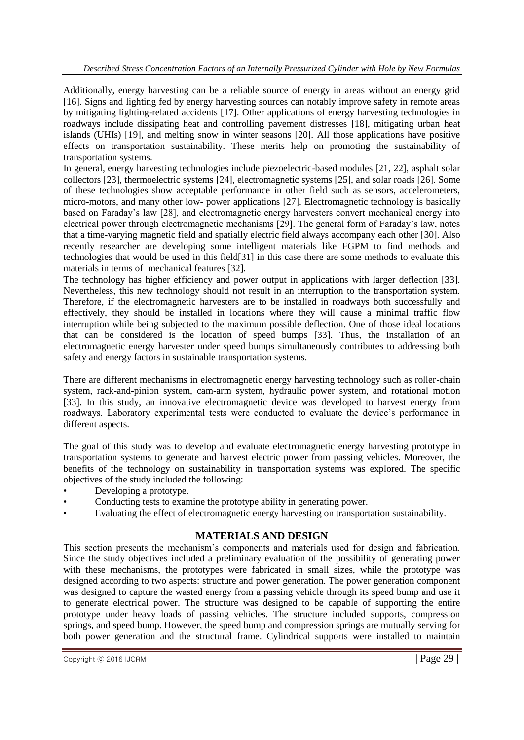Additionally, energy harvesting can be a reliable source of energy in areas without an energy grid [16]. Signs and lighting fed by energy harvesting sources can notably improve safety in remote areas by mitigating lighting-related accidents [17]. Other applications of energy harvesting technologies in roadways include dissipating heat and controlling pavement distresses [18], mitigating urban heat islands (UHIs) [19], and melting snow in winter seasons [20]. All those applications have positive effects on transportation sustainability. These merits help on promoting the sustainability of transportation systems.

In general, energy harvesting technologies include piezoelectric-based modules [21, 22], asphalt solar collectors [23], thermoelectric systems [24], electromagnetic systems [25], and solar roads [26]. Some of these technologies show acceptable performance in other field such as sensors, accelerometers, micro-motors, and many other low- power applications [27]. Electromagnetic technology is basically based on Faraday's law [28], and electromagnetic energy harvesters convert mechanical energy into electrical power through electromagnetic mechanisms [29]. The general form of Faraday's law, notes that a time-varying magnetic field and spatially electric field always accompany each other [30]. Also recently researcher are developing some intelligent materials like FGPM to find methods and technologies that would be used in this field[31] in this case there are some methods to evaluate this materials in terms of mechanical features [32].

The technology has higher efficiency and power output in applications with larger deflection [33]. Nevertheless, this new technology should not result in an interruption to the transportation system. Therefore, if the electromagnetic harvesters are to be installed in roadways both successfully and effectively, they should be installed in locations where they will cause a minimal traffic flow interruption while being subjected to the maximum possible deflection. One of those ideal locations that can be considered is the location of speed bumps [33]. Thus, the installation of an electromagnetic energy harvester under speed bumps simultaneously contributes to addressing both safety and energy factors in sustainable transportation systems.

There are different mechanisms in electromagnetic energy harvesting technology such as roller-chain system, rack-and-pinion system, cam-arm system, hydraulic power system, and rotational motion [33]. In this study, an innovative electromagnetic device was developed to harvest energy from roadways. Laboratory experimental tests were conducted to evaluate the device's performance in different aspects.

The goal of this study was to develop and evaluate electromagnetic energy harvesting prototype in transportation systems to generate and harvest electric power from passing vehicles. Moreover, the benefits of the technology on sustainability in transportation systems was explored. The specific objectives of the study included the following:

- Developing a prototype.
- Conducting tests to examine the prototype ability in generating power.
- Evaluating the effect of electromagnetic energy harvesting on transportation sustainability.

# **MATERIALS AND DESIGN**

This section presents the mechanism's components and materials used for design and fabrication. Since the study objectives included a preliminary evaluation of the possibility of generating power with these mechanisms, the prototypes were fabricated in small sizes, while the prototype was designed according to two aspects: structure and power generation. The power generation component was designed to capture the wasted energy from a passing vehicle through its speed bump and use it to generate electrical power. The structure was designed to be capable of supporting the entire prototype under heavy loads of passing vehicles. The structure included supports, compression springs, and speed bump. However, the speed bump and compression springs are mutually serving for both power generation and the structural frame. Cylindrical supports were installed to maintain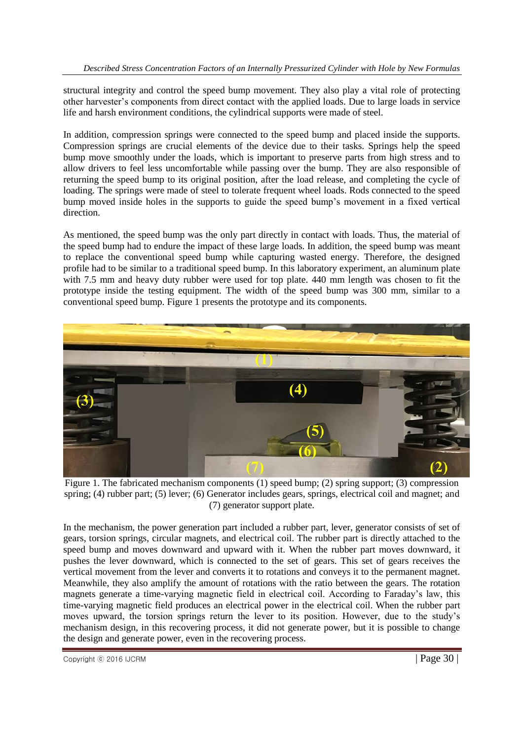structural integrity and control the speed bump movement. They also play a vital role of protecting other harvester's components from direct contact with the applied loads. Due to large loads in service life and harsh environment conditions, the cylindrical supports were made of steel.

In addition, compression springs were connected to the speed bump and placed inside the supports. Compression springs are crucial elements of the device due to their tasks. Springs help the speed bump move smoothly under the loads, which is important to preserve parts from high stress and to allow drivers to feel less uncomfortable while passing over the bump. They are also responsible of returning the speed bump to its original position, after the load release, and completing the cycle of loading. The springs were made of steel to tolerate frequent wheel loads. Rods connected to the speed bump moved inside holes in the supports to guide the speed bump's movement in a fixed vertical direction.

As mentioned, the speed bump was the only part directly in contact with loads. Thus, the material of the speed bump had to endure the impact of these large loads. In addition, the speed bump was meant to replace the conventional speed bump while capturing wasted energy. Therefore, the designed profile had to be similar to a traditional speed bump. In this laboratory experiment, an aluminum plate with 7.5 mm and heavy duty rubber were used for top plate. 440 mm length was chosen to fit the prototype inside the testing equipment. The width of the speed bump was 300 mm, similar to a conventional speed bump. Figure 1 presents the prototype and its components.



Figure 1. The fabricated mechanism components (1) speed bump; (2) spring support; (3) compression spring; (4) rubber part; (5) lever; (6) Generator includes gears, springs, electrical coil and magnet; and (7) generator support plate.

In the mechanism, the power generation part included a rubber part, lever, generator consists of set of gears, torsion springs, circular magnets, and electrical coil. The rubber part is directly attached to the speed bump and moves downward and upward with it. When the rubber part moves downward, it pushes the lever downward, which is connected to the set of gears. This set of gears receives the vertical movement from the lever and converts it to rotations and conveys it to the permanent magnet. Meanwhile, they also amplify the amount of rotations with the ratio between the gears. The rotation magnets generate a time-varying magnetic field in electrical coil. According to Faraday's law, this time-varying magnetic field produces an electrical power in the electrical coil. When the rubber part moves upward, the torsion springs return the lever to its position. However, due to the study's mechanism design, in this recovering process, it did not generate power, but it is possible to change the design and generate power, even in the recovering process.

 $\degree$  Copyright  $\degree$  2016 IJCRM  $\degree$  Page 30 |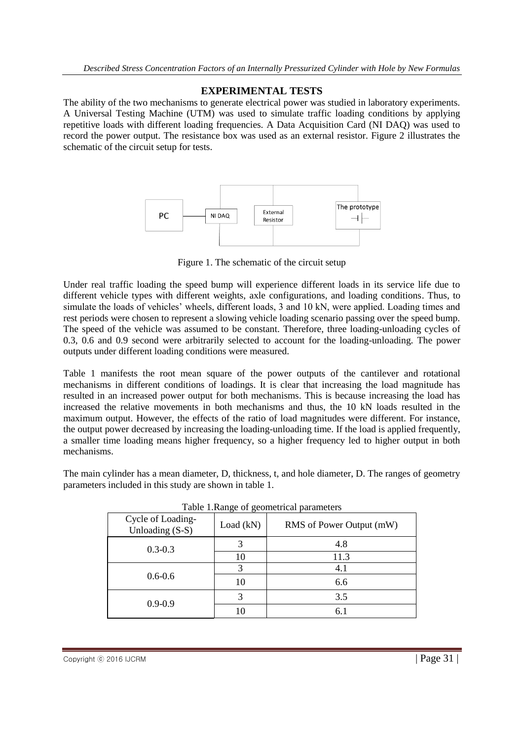## **EXPERIMENTAL TESTS**

The ability of the two mechanisms to generate electrical power was studied in laboratory experiments. A Universal Testing Machine (UTM) was used to simulate traffic loading conditions by applying repetitive loads with different loading frequencies. A Data Acquisition Card (NI DAQ) was used to record the power output. The resistance box was used as an external resistor. Figure 2 illustrates the schematic of the circuit setup for tests.



Figure 1. The schematic of the circuit setup

Under real traffic loading the speed bump will experience different loads in its service life due to different vehicle types with different weights, axle configurations, and loading conditions. Thus, to simulate the loads of vehicles' wheels, different loads, 3 and 10 kN, were applied. Loading times and rest periods were chosen to represent a slowing vehicle loading scenario passing over the speed bump. The speed of the vehicle was assumed to be constant. Therefore, three loading-unloading cycles of 0.3, 0.6 and 0.9 second were arbitrarily selected to account for the loading-unloading. The power outputs under different loading conditions were measured.

Table 1 manifests the root mean square of the power outputs of the cantilever and rotational mechanisms in different conditions of loadings. It is clear that increasing the load magnitude has resulted in an increased power output for both mechanisms. This is because increasing the load has increased the relative movements in both mechanisms and thus, the 10 kN loads resulted in the maximum output. However, the effects of the ratio of load magnitudes were different. For instance, the output power decreased by increasing the loading-unloading time. If the load is applied frequently, a smaller time loading means higher frequency, so a higher frequency led to higher output in both mechanisms.

The main cylinder has a mean diameter, D, thickness, t, and hole diameter, D. The ranges of geometry parameters included in this study are shown in table 1.

| I able T. Nalige of geometrical parameters |           |                          |  |  |
|--------------------------------------------|-----------|--------------------------|--|--|
| Cycle of Loading-<br>Unloading (S-S)       | Load (kN) | RMS of Power Output (mW) |  |  |
| $0.3 - 0.3$                                |           | 4.8                      |  |  |
|                                            | 10        | 11.3                     |  |  |
| $0.6 - 0.6$                                | 3         | 4.1                      |  |  |
|                                            | 10        | 6.6                      |  |  |
| $0.9 - 0.9$                                | 3         | 3.5                      |  |  |
|                                            | 10        | 6.1                      |  |  |

|  | Table 1. Range of geometrical parameters |  |
|--|------------------------------------------|--|
|  |                                          |  |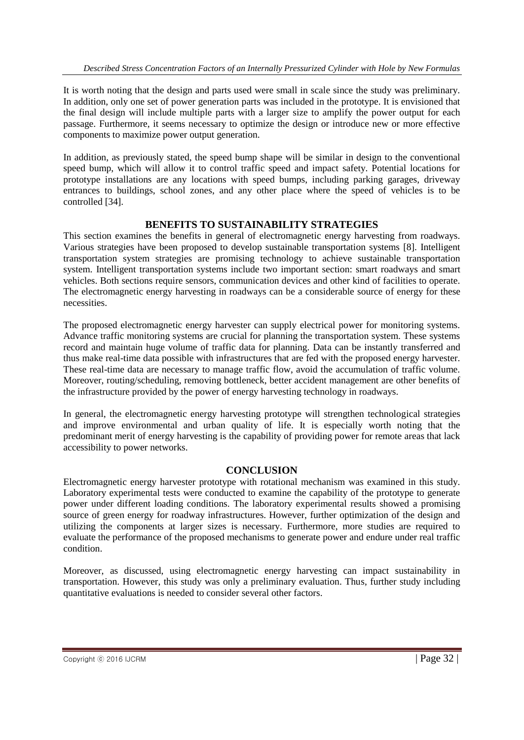It is worth noting that the design and parts used were small in scale since the study was preliminary. In addition, only one set of power generation parts was included in the prototype. It is envisioned that the final design will include multiple parts with a larger size to amplify the power output for each passage. Furthermore, it seems necessary to optimize the design or introduce new or more effective components to maximize power output generation.

In addition, as previously stated, the speed bump shape will be similar in design to the conventional speed bump, which will allow it to control traffic speed and impact safety. Potential locations for prototype installations are any locations with speed bumps, including parking garages, driveway entrances to buildings, school zones, and any other place where the speed of vehicles is to be controlled [34].

## **BENEFITS TO SUSTAINABILITY STRATEGIES**

This section examines the benefits in general of electromagnetic energy harvesting from roadways. Various strategies have been proposed to develop sustainable transportation systems [8]. Intelligent transportation system strategies are promising technology to achieve sustainable transportation system. Intelligent transportation systems include two important section: smart roadways and smart vehicles. Both sections require sensors, communication devices and other kind of facilities to operate. The electromagnetic energy harvesting in roadways can be a considerable source of energy for these necessities.

The proposed electromagnetic energy harvester can supply electrical power for monitoring systems. Advance traffic monitoring systems are crucial for planning the transportation system. These systems record and maintain huge volume of traffic data for planning. Data can be instantly transferred and thus make real-time data possible with infrastructures that are fed with the proposed energy harvester. These real-time data are necessary to manage traffic flow, avoid the accumulation of traffic volume. Moreover, routing/scheduling, removing bottleneck, better accident management are other benefits of the infrastructure provided by the power of energy harvesting technology in roadways.

In general, the electromagnetic energy harvesting prototype will strengthen technological strategies and improve environmental and urban quality of life. It is especially worth noting that the predominant merit of energy harvesting is the capability of providing power for remote areas that lack accessibility to power networks.

#### **CONCLUSION**

Electromagnetic energy harvester prototype with rotational mechanism was examined in this study. Laboratory experimental tests were conducted to examine the capability of the prototype to generate power under different loading conditions. The laboratory experimental results showed a promising source of green energy for roadway infrastructures. However, further optimization of the design and utilizing the components at larger sizes is necessary. Furthermore, more studies are required to evaluate the performance of the proposed mechanisms to generate power and endure under real traffic condition.

Moreover, as discussed, using electromagnetic energy harvesting can impact sustainability in transportation. However, this study was only a preliminary evaluation. Thus, further study including quantitative evaluations is needed to consider several other factors.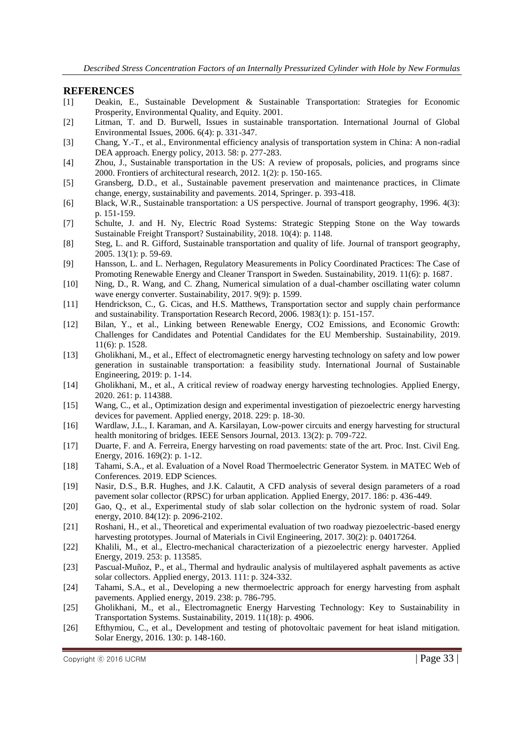#### **REFERENCES**

- [1] Deakin, E., Sustainable Development & Sustainable Transportation: Strategies for Economic Prosperity, Environmental Quality, and Equity. 2001.
- [2] Litman, T. and D. Burwell, Issues in sustainable transportation. International Journal of Global Environmental Issues, 2006. 6(4): p. 331-347.
- [3] Chang, Y.-T., et al., Environmental efficiency analysis of transportation system in China: A non-radial DEA approach. Energy policy, 2013. 58: p. 277-283.
- [4] Zhou, J., Sustainable transportation in the US: A review of proposals, policies, and programs since 2000. Frontiers of architectural research, 2012. 1(2): p. 150-165.
- [5] Gransberg, D.D., et al., Sustainable pavement preservation and maintenance practices, in Climate change, energy, sustainability and pavements. 2014, Springer. p. 393-418.
- [6] Black, W.R., Sustainable transportation: a US perspective. Journal of transport geography, 1996. 4(3): p. 151-159.
- [7] Schulte, J. and H. Ny, Electric Road Systems: Strategic Stepping Stone on the Way towards Sustainable Freight Transport? Sustainability, 2018. 10(4): p. 1148.
- [8] Steg, L. and R. Gifford, Sustainable transportation and quality of life. Journal of transport geography, 2005. 13(1): p. 59-69.
- [9] Hansson, L. and L. Nerhagen, Regulatory Measurements in Policy Coordinated Practices: The Case of Promoting Renewable Energy and Cleaner Transport in Sweden. Sustainability, 2019. 11(6): p. 1687.
- [10] Ning, D., R. Wang, and C. Zhang, Numerical simulation of a dual-chamber oscillating water column wave energy converter. Sustainability, 2017. 9(9): p. 1599.
- [11] Hendrickson, C., G. Cicas, and H.S. Matthews, Transportation sector and supply chain performance and sustainability. Transportation Research Record, 2006. 1983(1): p. 151-157.
- [12] Bilan, Y., et al., Linking between Renewable Energy, CO2 Emissions, and Economic Growth: Challenges for Candidates and Potential Candidates for the EU Membership. Sustainability, 2019. 11(6): p. 1528.
- [13] Gholikhani, M., et al., Effect of electromagnetic energy harvesting technology on safety and low power generation in sustainable transportation: a feasibility study. International Journal of Sustainable Engineering, 2019: p. 1-14.
- [14] Gholikhani, M., et al., A critical review of roadway energy harvesting technologies. Applied Energy, 2020. 261: p. 114388.
- [15] Wang, C., et al., Optimization design and experimental investigation of piezoelectric energy harvesting devices for pavement. Applied energy, 2018. 229: p. 18-30.
- [16] Wardlaw, J.L., I. Karaman, and A. Karsilayan, Low-power circuits and energy harvesting for structural health monitoring of bridges. IEEE Sensors Journal, 2013. 13(2): p. 709-722.
- [17] Duarte, F. and A. Ferreira, Energy harvesting on road pavements: state of the art. Proc. Inst. Civil Eng. Energy, 2016. 169(2): p. 1-12.
- [18] Tahami, S.A., et al. Evaluation of a Novel Road Thermoelectric Generator System. in MATEC Web of Conferences. 2019. EDP Sciences.
- [19] Nasir, D.S., B.R. Hughes, and J.K. Calautit, A CFD analysis of several design parameters of a road pavement solar collector (RPSC) for urban application. Applied Energy, 2017. 186: p. 436-449.
- [20] Gao, Q., et al., Experimental study of slab solar collection on the hydronic system of road. Solar energy, 2010. 84(12): p. 2096-2102.
- [21] Roshani, H., et al., Theoretical and experimental evaluation of two roadway piezoelectric-based energy harvesting prototypes. Journal of Materials in Civil Engineering, 2017. 30(2): p. 04017264.
- [22] Khalili, M., et al., Electro-mechanical characterization of a piezoelectric energy harvester. Applied Energy, 2019. 253: p. 113585.
- [23] Pascual-Muñoz, P., et al., Thermal and hydraulic analysis of multilayered asphalt pavements as active solar collectors. Applied energy, 2013. 111: p. 324-332.
- [24] Tahami, S.A., et al., Developing a new thermoelectric approach for energy harvesting from asphalt pavements. Applied energy, 2019. 238: p. 786-795.
- [25] Gholikhani, M., et al., Electromagnetic Energy Harvesting Technology: Key to Sustainability in Transportation Systems. Sustainability, 2019. 11(18): p. 4906.
- [26] Efthymiou, C., et al., Development and testing of photovoltaic pavement for heat island mitigation. Solar Energy, 2016. 130: p. 148-160.

 $\angle$  Copyright  $\odot$  2016 IJCRM  $\angle$  Page 33 |